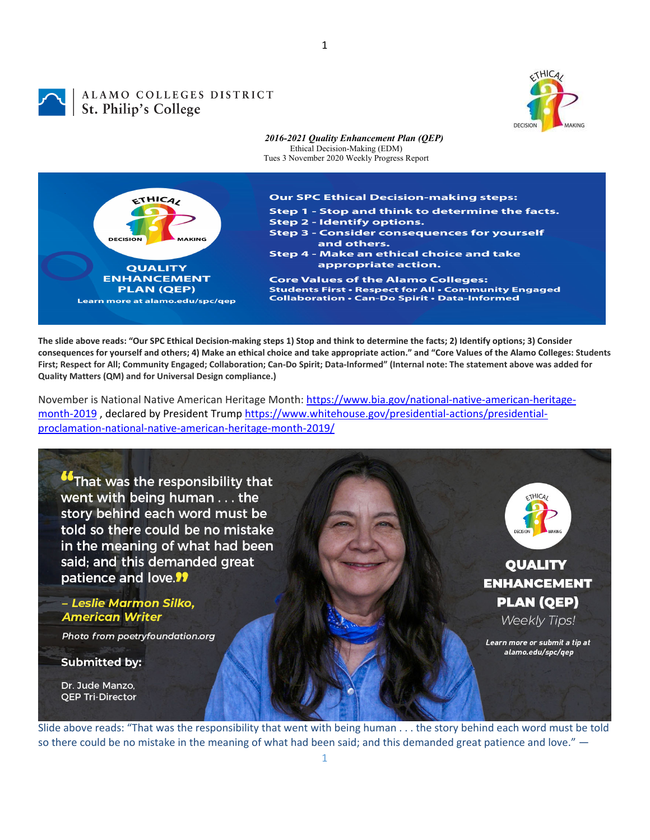

# ALAMO COLLEGES DISTRICT **ALAMO COLLEGES**<br>St. Philip's College



The slide above reads: "Our SPC Ethical Decision-making steps 1) Stop and think to determine the facts; 2) Identify options; 3) Consider consequences for yourself and others; 4) Make an ethical choice and take appropriate action." and "Core Values of the Alamo Colleges: Students First; Respect for All; Community Engaged; Collaboration; Can-Do Spirit; Data-Informed" (Internal note: The statement above was added for **Quality Matters (QM) and for Universal Design compliance.)**

November is National Native American Heritage Month: https://www.bia.gov/national‐native‐american‐heritage‐ month-2019, declared by President Trump https://www.whitehouse.gov/presidential-actions/presidentialproclamation‐national‐native‐american‐heritage‐month‐2019/



Slide above reads: "That was the responsibility that went with being human . . . the story behind each word must be told so there could be no mistake in the meaning of what had been said; and this demanded great patience and love." ―

1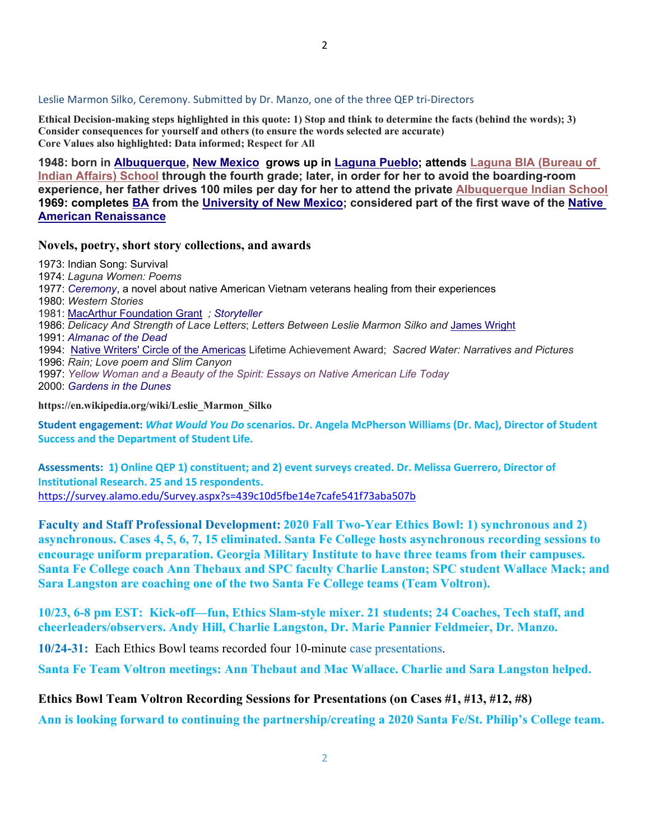**Ethical Decision-making steps highlighted in this quote: 1) Stop and think to determine the facts (behind the words); 3) Consider consequences for yourself and others (to ensure the words selected are accurate) Core Values also highlighted: Data informed; Respect for All** 

**1948: born in Albuquerque, New Mexico grows up in Laguna Pueblo; attends Laguna BIA (Bureau of Indian Affairs) School through the fourth grade; later, in order for her to avoid the boarding-room experience, her father drives 100 miles per day for her to attend the private Albuquerque Indian School 1969: completes BA from the University of New Mexico; considered part of the first wave of the Native American Renaissance**

#### **Novels, poetry, short story collections, and awards**

1973: Indian Song: Survival

- 1974: *Laguna Women: Poems*
- 1977: *Ceremony*, a novel about native American Vietnam veterans healing from their experiences
- 1980: *Western Stories*
- 1981: MacArthur Foundation Grant *; Storyteller*
- 1986: *Delicacy And Strength of Lace Letters*; *Letters Between Leslie Marmon Silko and* James Wright
- 1991: *Almanac of the Dead*
- 1994: Native Writers' Circle of the Americas Lifetime Achievement Award; *Sacred Water: Narratives and Pictures*
- 1996: *Rain; Love poem and Slim Canyon*
- 1997: *Yellow Woman and a Beauty of the Spirit: Essays on Native American Life Today*

2000: *Gardens in the Dunes*

**https://en.wikipedia.org/wiki/Leslie\_Marmon\_Silko** 

**Student engagement:** *What Would You Do* **scenarios. Dr. Angela McPherson Williams (Dr. Mac), Director of Student Success and the Department of Student Life.**

Assessments: 1) Online QEP 1) constituent; and 2) event surveys created. Dr. Melissa Guerrero, Director of **Institutional Research. 25 and 15 respondents.** https://survey.alamo.edu/Survey.aspx?s=439c10d5fbe14e7cafe541f73aba507b

**Faculty and Staff Professional Development: 2020 Fall Two-Year Ethics Bowl: 1) synchronous and 2) asynchronous. Cases 4, 5, 6, 7, 15 eliminated. Santa Fe College hosts asynchronous recording sessions to encourage uniform preparation. Georgia Military Institute to have three teams from their campuses. Santa Fe College coach Ann Thebaux and SPC faculty Charlie Lanston; SPC student Wallace Mack; and Sara Langston are coaching one of the two Santa Fe College teams (Team Voltron).** 

**10/23, 6-8 pm EST: Kick-off—fun, Ethics Slam-style mixer. 21 students; 24 Coaches, Tech staff, and cheerleaders/observers. Andy Hill, Charlie Langston, Dr. Marie Pannier Feldmeier, Dr. Manzo.** 

**10/24-31:** Each Ethics Bowl teams recorded four 10-minute case presentations.

**Santa Fe Team Voltron meetings: Ann Thebaut and Mac Wallace. Charlie and Sara Langston helped.** 

#### **Ethics Bowl Team Voltron Recording Sessions for Presentations (on Cases #1, #13, #12, #8)**

**Ann is looking forward to continuing the partnership/creating a 2020 Santa Fe/St. Philip's College team.**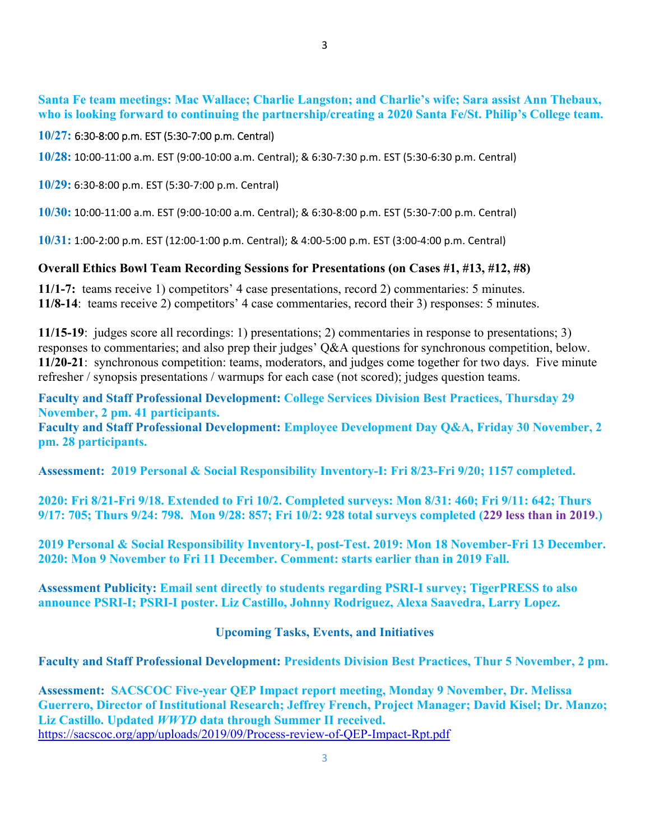## **10/27:** 6:30‐8:00 p.m. EST (5:30‐7:00 p.m. Central)

**10/28:** 10:00‐11:00 a.m. EST (9:00‐10:00 a.m. Central); & 6:30‐7:30 p.m. EST (5:30‐6:30 p.m. Central)

**10/29:** 6:30‐8:00 p.m. EST (5:30‐7:00 p.m. Central)

**10/30:** 10:00‐11:00 a.m. EST (9:00‐10:00 a.m. Central); & 6:30‐8:00 p.m. EST (5:30‐7:00 p.m. Central)

**10/31:** 1:00‐2:00 p.m. EST (12:00‐1:00 p.m. Central); & 4:00‐5:00 p.m. EST (3:00‐4:00 p.m. Central)

## **Overall Ethics Bowl Team Recording Sessions for Presentations (on Cases #1, #13, #12, #8)**

**11/1-7:** teams receive 1) competitors' 4 case presentations, record 2) commentaries: 5 minutes. **11/8-14**: teams receive 2) competitors' 4 case commentaries, record their 3) responses: 5 minutes.

**11/15-19**: judges score all recordings: 1) presentations; 2) commentaries in response to presentations; 3) responses to commentaries; and also prep their judges' Q&A questions for synchronous competition, below. **11/20-21**: synchronous competition: teams, moderators, and judges come together for two days. Five minute refresher / synopsis presentations / warmups for each case (not scored); judges question teams.

**Faculty and Staff Professional Development: College Services Division Best Practices, Thursday 29 November, 2 pm. 41 participants. Faculty and Staff Professional Development: Employee Development Day Q&A, Friday 30 November, 2 pm. 28 participants.** 

**Assessment: 2019 Personal & Social Responsibility Inventory-I: Fri 8/23-Fri 9/20; 1157 completed.** 

**2020: Fri 8/21-Fri 9/18. Extended to Fri 10/2. Completed surveys: Mon 8/31: 460; Fri 9/11: 642; Thurs 9/17: 705; Thurs 9/24: 798. Mon 9/28: 857; Fri 10/2: 928 total surveys completed (229 less than in 2019.)** 

**2019 Personal & Social Responsibility Inventory-I, post-Test. 2019: Mon 18 November-Fri 13 December. 2020: Mon 9 November to Fri 11 December. Comment: starts earlier than in 2019 Fall.** 

**Assessment Publicity: Email sent directly to students regarding PSRI-I survey; TigerPRESS to also announce PSRI-I; PSRI-I poster. Liz Castillo, Johnny Rodriguez, Alexa Saavedra, Larry Lopez.** 

## **Upcoming Tasks, Events, and Initiatives**

## **Faculty and Staff Professional Development: Presidents Division Best Practices, Thur 5 November, 2 pm.**

**Assessment: SACSCOC Five-year QEP Impact report meeting, Monday 9 November, Dr. Melissa Guerrero, Director of Institutional Research; Jeffrey French, Project Manager; David Kisel; Dr. Manzo; Liz Castillo. Updated** *WWYD* **data through Summer II received.**  https://sacscoc.org/app/uploads/2019/09/Process-review-of-QEP-Impact-Rpt.pdf